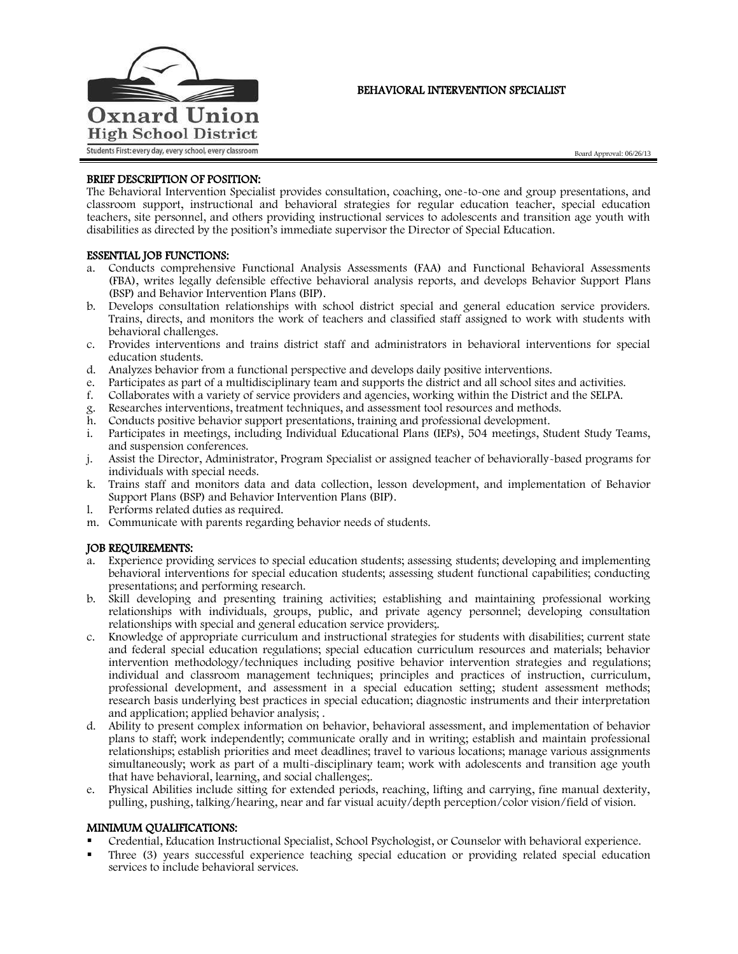

# BEHAVIORAL INTERVENTION SPECIALIST

Board Approval: 06/26/13

# BRIEF DESCRIPTION OF POSITION:

The Behavioral Intervention Specialist provides consultation, coaching, one-to-one and group presentations, and classroom support, instructional and behavioral strategies for regular education teacher, special education teachers, site personnel, and others providing instructional services to adolescents and transition age youth with disabilities as directed by the position's immediate supervisor the Director of Special Education.

## ESSENTIAL JOB FUNCTIONS:

- a. Conducts comprehensive Functional Analysis Assessments (FAA) and Functional Behavioral Assessments (FBA), writes legally defensible effective behavioral analysis reports, and develops Behavior Support Plans (BSP) and Behavior Intervention Plans (BIP).
- b. Develops consultation relationships with school district special and general education service providers. Trains, directs, and monitors the work of teachers and classified staff assigned to work with students with behavioral challenges.
- c. Provides interventions and trains district staff and administrators in behavioral interventions for special education students.
- d. Analyzes behavior from a functional perspective and develops daily positive interventions.
- e. Participates as part of a multidisciplinary team and supports the district and all school sites and activities.
- f. Collaborates with a variety of service providers and agencies, working within the District and the SELPA.
- g. Researches interventions, treatment techniques, and assessment tool resources and methods.
- h. Conducts positive behavior support presentations, training and professional development.
- i. Participates in meetings, including Individual Educational Plans (IEPs), 504 meetings, Student Study Teams, and suspension conferences.
- j. Assist the Director, Administrator, Program Specialist or assigned teacher of behaviorally-based programs for individuals with special needs.
- k. Trains staff and monitors data and data collection, lesson development, and implementation of Behavior Support Plans (BSP) and Behavior Intervention Plans (BIP).
- l. Performs related duties as required.
- m. Communicate with parents regarding behavior needs of students.

## JOB REQUIREMENTS:

- a. Experience providing services to special education students; assessing students; developing and implementing behavioral interventions for special education students; assessing student functional capabilities; conducting presentations; and performing research.
- b. Skill developing and presenting training activities; establishing and maintaining professional working relationships with individuals, groups, public, and private agency personnel; developing consultation relationships with special and general education service providers;.
- c. Knowledge of appropriate curriculum and instructional strategies for students with disabilities; current state and federal special education regulations; special education curriculum resources and materials; behavior intervention methodology/techniques including positive behavior intervention strategies and regulations; individual and classroom management techniques; principles and practices of instruction, curriculum, professional development, and assessment in a special education setting; student assessment methods; research basis underlying best practices in special education; diagnostic instruments and their interpretation and application; applied behavior analysis; .
- d. Ability to present complex information on behavior, behavioral assessment, and implementation of behavior plans to staff; work independently; communicate orally and in writing; establish and maintain professional relationships; establish priorities and meet deadlines; travel to various locations; manage various assignments simultaneously; work as part of a multi-disciplinary team; work with adolescents and transition age youth that have behavioral, learning, and social challenges;.
- e. Physical Abilities include sitting for extended periods, reaching, lifting and carrying, fine manual dexterity, pulling, pushing, talking/hearing, near and far visual acuity/depth perception/color vision/field of vision.

## MINIMUM QUALIFICATIONS:

- Credential, Education Instructional Specialist, School Psychologist, or Counselor with behavioral experience.
- Three (3) years successful experience teaching special education or providing related special education services to include behavioral services.